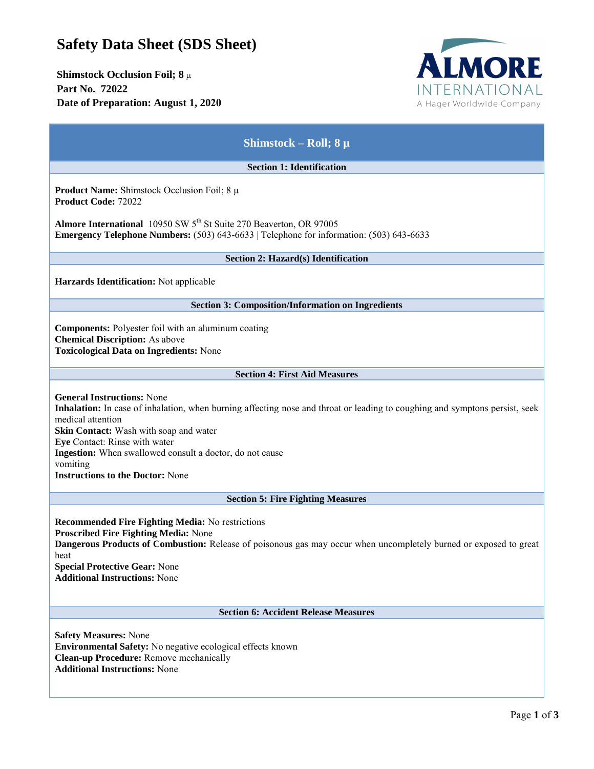## **Safety Data Sheet (SDS Sheet)**

**Shimstock Occlusion Foil; 8** µ **Part No. 72022 Date of Preparation: August 1, 2020**



| Shimstock – Roll; $8 \mu$                                                                                                                                                                                                                                                                                                                                                           |
|-------------------------------------------------------------------------------------------------------------------------------------------------------------------------------------------------------------------------------------------------------------------------------------------------------------------------------------------------------------------------------------|
| <b>Section 1: Identification</b>                                                                                                                                                                                                                                                                                                                                                    |
| <b>Product Name:</b> Shimstock Occlusion Foil; $8 \mu$<br><b>Product Code: 72022</b>                                                                                                                                                                                                                                                                                                |
| Almore International 10950 SW 5 <sup>th</sup> St Suite 270 Beaverton, OR 97005<br>Emergency Telephone Numbers: (503) 643-6633   Telephone for information: (503) 643-6633                                                                                                                                                                                                           |
| Section 2: Hazard(s) Identification                                                                                                                                                                                                                                                                                                                                                 |
| Harzards Identification: Not applicable                                                                                                                                                                                                                                                                                                                                             |
| <b>Section 3: Composition/Information on Ingredients</b>                                                                                                                                                                                                                                                                                                                            |
| <b>Components:</b> Polyester foil with an aluminum coating<br><b>Chemical Discription:</b> As above<br><b>Toxicological Data on Ingredients: None</b>                                                                                                                                                                                                                               |
| <b>Section 4: First Aid Measures</b>                                                                                                                                                                                                                                                                                                                                                |
| <b>General Instructions: None</b><br>Inhalation: In case of inhalation, when burning affecting nose and throat or leading to coughing and symptons persist, seek<br>medical attention<br>Skin Contact: Wash with soap and water<br>Eye Contact: Rinse with water<br>Ingestion: When swallowed consult a doctor, do not cause<br>vomiting<br><b>Instructions to the Doctor: None</b> |
| <b>Section 5: Fire Fighting Measures</b>                                                                                                                                                                                                                                                                                                                                            |
| <b>Recommended Fire Fighting Media: No restrictions</b><br>Proscribed Fire Fighting Media: None<br>Dangerous Products of Combustion: Release of poisonous gas may occur when uncompletely burned or exposed to great<br>heat<br><b>Special Protective Gear: None</b><br><b>Additional Instructions: None</b>                                                                        |
| <b>Section 6: Accident Release Measures</b>                                                                                                                                                                                                                                                                                                                                         |
| <b>Safety Measures: None</b><br><b>Environmental Safety:</b> No negative ecological effects known<br>Clean-up Procedure: Remove mechanically<br><b>Additional Instructions: None</b>                                                                                                                                                                                                |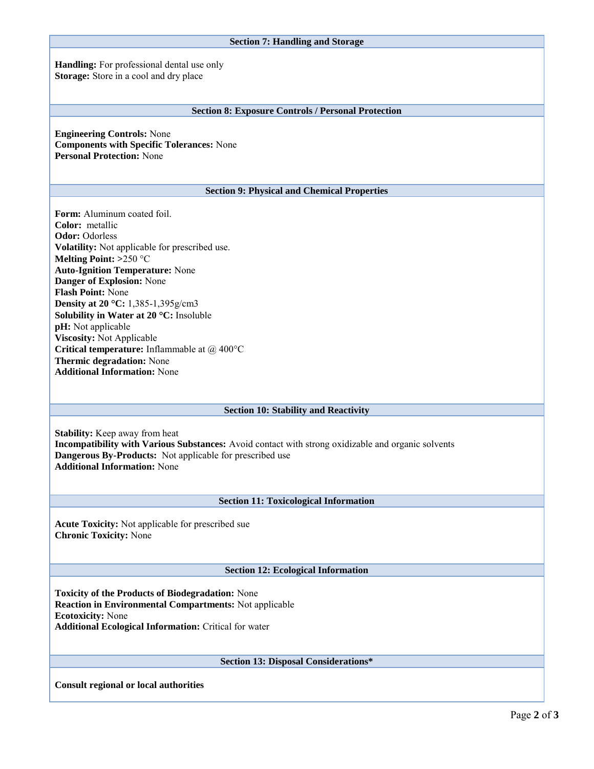| <b>Section 7: Handling and Storage</b>                                                                                                                                                                                                                                                                                                                                                                                                                                                                                  |
|-------------------------------------------------------------------------------------------------------------------------------------------------------------------------------------------------------------------------------------------------------------------------------------------------------------------------------------------------------------------------------------------------------------------------------------------------------------------------------------------------------------------------|
| Handling: For professional dental use only<br>Storage: Store in a cool and dry place                                                                                                                                                                                                                                                                                                                                                                                                                                    |
| <b>Section 8: Exposure Controls / Personal Protection</b>                                                                                                                                                                                                                                                                                                                                                                                                                                                               |
| <b>Engineering Controls: None</b><br><b>Components with Specific Tolerances: None</b><br><b>Personal Protection: None</b>                                                                                                                                                                                                                                                                                                                                                                                               |
| <b>Section 9: Physical and Chemical Properties</b>                                                                                                                                                                                                                                                                                                                                                                                                                                                                      |
| <b>Form:</b> Aluminum coated foil.<br>Color: metallic<br><b>Odor: Odorless</b><br>Volatility: Not applicable for prescribed use.<br>Melting Point: $>250$ °C<br><b>Auto-Ignition Temperature: None</b><br>Danger of Explosion: None<br>Flash Point: None<br>Density at 20 °C: 1,385-1,395g/cm3<br>Solubility in Water at 20 °C: Insoluble<br>pH: Not applicable<br>Viscosity: Not Applicable<br>Critical temperature: Inflammable at @ 400°C<br><b>Thermic degradation:</b> None<br><b>Additional Information: None</b> |
| <b>Section 10: Stability and Reactivity</b>                                                                                                                                                                                                                                                                                                                                                                                                                                                                             |
| <b>Stability:</b> Keep away from heat<br>Incompatibility with Various Substances: Avoid contact with strong oxidizable and organic solvents<br>Dangerous By-Products: Not applicable for prescribed use<br><b>Additional Information: None</b>                                                                                                                                                                                                                                                                          |
| <b>Section 11: Toxicological Information</b>                                                                                                                                                                                                                                                                                                                                                                                                                                                                            |
| <b>Acute Toxicity:</b> Not applicable for prescribed sue<br><b>Chronic Toxicity: None</b>                                                                                                                                                                                                                                                                                                                                                                                                                               |
| <b>Section 12: Ecological Information</b>                                                                                                                                                                                                                                                                                                                                                                                                                                                                               |
| Toxicity of the Products of Biodegradation: None<br><b>Reaction in Environmental Compartments:</b> Not applicable<br><b>Ecotoxicity: None</b><br><b>Additional Ecological Information:</b> Critical for water                                                                                                                                                                                                                                                                                                           |
| Section 13: Disposal Considerations*                                                                                                                                                                                                                                                                                                                                                                                                                                                                                    |
| <b>Consult regional or local authorities</b>                                                                                                                                                                                                                                                                                                                                                                                                                                                                            |